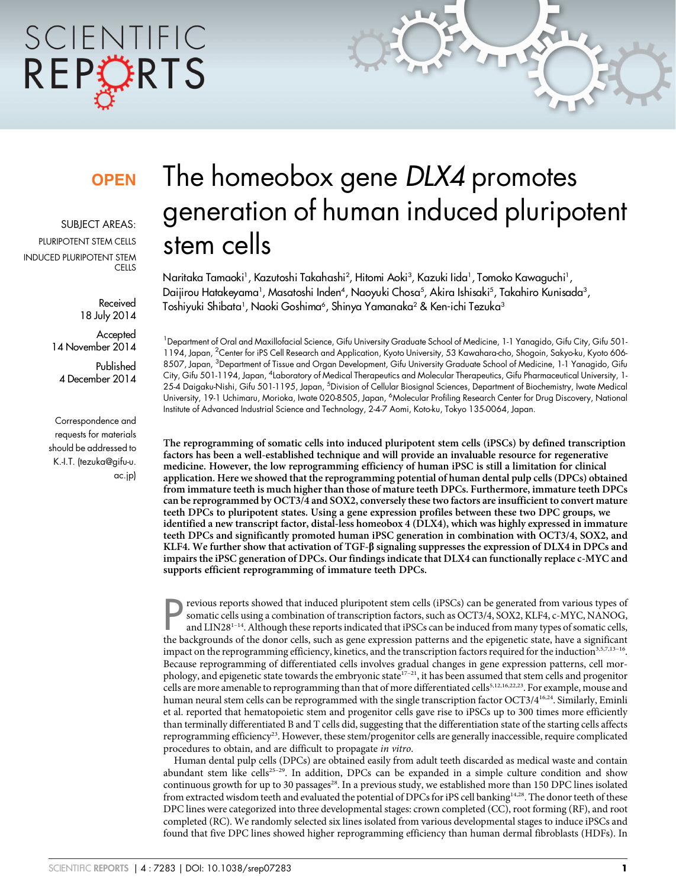# SCIENTIFIC REPORTS

### **OPEN**

SUBJECT AREAS: PILIRIPOTENT STEM CELLS INDUCED PLURIPOTENT STEM **CELLS** 

> Received 18 July 2014

**Accepted** 14 November 2014

Published 4 December 2014

Correspondence and requests for materials should be addressed to K.-I.T. ([tezuka@gifu-u.](mailto:tezuka@gifu‐u.ac.jp) [ac.jp\)](mailto:tezuka@gifu‐u.ac.jp)

## The homeobox gene DLX4 promotes generation of human induced pluripotent stem cells

Naritaka Tamaoki<sup>1</sup>, Kazutoshi Takahashi<sup>2</sup>, Hitomi Aoki<sup>3</sup>, Kazuki Iida<sup>1</sup>, Tomoko Kawaguchi<sup>1</sup>, Daijirou Hatakeyama<sup>1</sup>, Masatoshi Inden<sup>4</sup>, Naoyuki Chosa<sup>5</sup>, Akira Ishisaki<sup>5</sup>, Takahiro Kunisada<sup>3</sup>, Toshiyuki Shibata', Naoki Goshima<sup>6</sup>, Shinya Yamanaka<sup>2</sup> & Ken-ichi Tezuka<sup>3</sup>

<sup>1</sup> Department of Oral and Maxillofacial Science, Gifu University Graduate School of Medicine, 1-1 Yanagido, Gifu City, Gifu 501-1194, Japan, <sup>2</sup>Center for iPS Cell Research and Application, Kyoto University, 53 Kawahara-cho, Shogoin, Sakyo-ku, Kyoto 606-8507, Japan, <sup>3</sup>Department of Tissue and Organ Development, Gifu University Graduate School of Medicine, 1-1 Yanagido, Gifu City, Gifu 501-1194, Japan, <sup>4</sup>Laboratory of Medical Therapeutics and Molecular Therapeutics, Gifu Pharmaceutical University, 1-25-4 Daigaku-Nishi, Gifu 501-1195, Japan, <sup>5</sup>Division of Cellular Biosignal Sciences, Department of Biochemistry, Iwate Medical University, 19-1 Uchimaru, Morioka, Iwate 020-8505, Japan, <sup>6</sup>Molecular Profiling Research Center for Drug Discovery, National Institute of Advanced Industrial Science and Technology, 2-4-7 Aomi, Koto-ku, Tokyo 135-0064, Japan.

The reprogramming of somatic cells into induced pluripotent stem cells (iPSCs) by defined transcription factors has been a well-established technique and will provide an invaluable resource for regenerative medicine. However, the low reprogramming efficiency of human iPSC is still a limitation for clinical application. Here we showed that the reprogramming potential of human dental pulp cells (DPCs) obtained from immature teeth is much higher than those of mature teeth DPCs. Furthermore, immature teeth DPCs can be reprogrammed by OCT3/4 and SOX2, conversely these two factors are insufficient to convert mature teeth DPCs to pluripotent states. Using a gene expression profiles between these two DPC groups, we identified a new transcript factor, distal-less homeobox 4 (DLX4), which was highly expressed in immature teeth DPCs and significantly promoted human iPSC generation in combination with OCT3/4, SOX2, and KLF4. We further show that activation of TGF- $\beta$  signaling suppresses the expression of DLX4 in DPCs and impairs the iPSC generation of DPCs. Our findings indicate that DLX4 can functionally replace c-MYC and supports efficient reprogramming of immature teeth DPCs.

**PERITM EXECTS SET SET SOLUTE SET SOLUTE SET SET SET SET SOLUTER** FRIGHT SOMATION SOMATION SOMATION SOMATION and LIN28<sup>1-14</sup>. Although these reports indicated that iPSCs can be induced from many types of somatic cells, the revious reports showed that induced pluripotent stem cells (iPSCs) can be generated from various types of somatic cells using a combination of transcription factors, such as OCT3/4, SOX2, KLF4, c-MYC, NANOG, and LIN28<sup>1-14</sup>. Although these reports indicated that iPSCs can be induced from many types of somatic cells, impact on the reprogramming efficiency, kinetics, and the transcription factors required for the induction $3,5,7,13-16$ . Because reprogramming of differentiated cells involves gradual changes in gene expression patterns, cell morphology, and epigenetic state towards the embryonic state<sup>17-21</sup>, it has been assumed that stem cells and progenitor cells are more amenable to reprogramming than that of more differentiated cells<sup>5,12,16,22,23</sup>. For example, mouse and human neural stem cells can be reprogrammed with the single transcription factor OCT3/4<sup>16,24</sup>. Similarly, Eminli et al. reported that hematopoietic stem and progenitor cells gave rise to iPSCs up to 300 times more efficiently than terminally differentiated B and T cells did, suggesting that the differentiation state of the starting cells affects reprogramming efficiency<sup>23</sup>. However, these stem/progenitor cells are generally inaccessible, require complicated procedures to obtain, and are difficult to propagate in vitro.

Human dental pulp cells (DPCs) are obtained easily from adult teeth discarded as medical waste and contain abundant stem like cells<sup>25-29</sup>. In addition, DPCs can be expanded in a simple culture condition and show continuous growth for up to 30 passages<sup>28</sup>. In a previous study, we established more than 150 DPC lines isolated from extracted wisdom teeth and evaluated the potential of DPCs for iPS cell banking14,28. The donor teeth of these DPC lines were categorized into three developmental stages: crown completed (CC), root forming (RF), and root completed (RC). We randomly selected six lines isolated from various developmental stages to induce iPSCs and found that five DPC lines showed higher reprogramming efficiency than human dermal fibroblasts (HDFs). In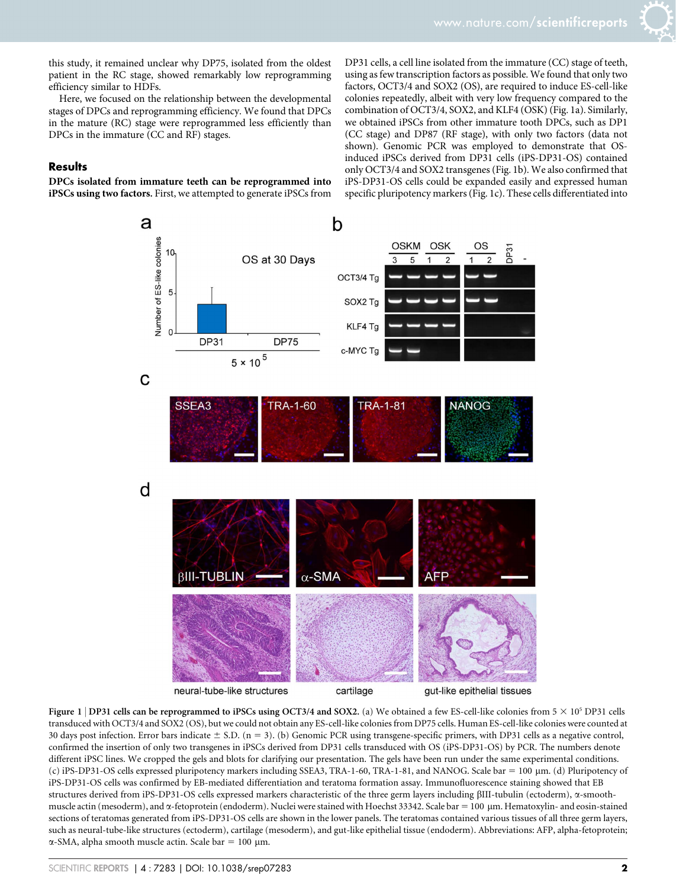this study, it remained unclear why DP75, isolated from the oldest patient in the RC stage, showed remarkably low reprogramming efficiency similar to HDFs.

Here, we focused on the relationship between the developmental stages of DPCs and reprogramming efficiency. We found that DPCs in the mature (RC) stage were reprogrammed less efficiently than DPCs in the immature (CC and RF) stages.

#### **Results**

DPCs isolated from immature teeth can be reprogrammed into iPSCs using two factors. First, we attempted to generate iPSCs from DP31 cells, a cell line isolated from the immature (CC) stage of teeth, using as few transcription factors as possible. We found that only two factors, OCT3/4 and SOX2 (OS), are required to induce ES-cell-like colonies repeatedly, albeit with very low frequency compared to the combination of OCT3/4, SOX2, and KLF4 (OSK) (Fig. 1a). Similarly, we obtained iPSCs from other immature tooth DPCs, such as DP1 (CC stage) and DP87 (RF stage), with only two factors (data not shown). Genomic PCR was employed to demonstrate that OSinduced iPSCs derived from DP31 cells (iPS-DP31-OS) contained only OCT3/4 and SOX2 transgenes (Fig. 1b). We also confirmed that iPS-DP31-OS cells could be expanded easily and expressed human specific pluripotency markers (Fig. 1c). These cells differentiated into



Figure 1 | DP31 cells can be reprogrammed to iPSCs using OCT3/4 and SOX2. (a) We obtained a few ES-cell-like colonies from  $5 \times 10^5$  DP31 cells transduced with OCT3/4 and SOX2 (OS), but we could not obtain any ES-cell-like colonies from DP75 cells. Human ES-cell-like colonies were counted at 30 days post infection. Error bars indicate  $\pm$  S.D. (n = 3). (b) Genomic PCR using transgene-specific primers, with DP31 cells as a negative control, confirmed the insertion of only two transgenes in iPSCs derived from DP31 cells transduced with OS (iPS-DP31-OS) by PCR. The numbers denote different iPSC lines. We cropped the gels and blots for clarifying our presentation. The gels have been run under the same experimental conditions. (c) iPS-DP31-OS cells expressed pluripotency markers including SSEA3, TRA-1-60, TRA-1-81, and NANOG. Scale bar = 100  $\mu$ m. (d) Pluripotency of iPS-DP31-OS cells was confirmed by EB-mediated differentiation and teratoma formation assay. Immunofluorescence staining showed that EB structures derived from iPS-DP31-OS cells expressed markers characteristic of the three germ layers including bIII-tubulin (ectoderm), a-smoothmuscle actin (mesoderm), and  $\alpha$ -fetoprotein (endoderm). Nuclei were stained with Hoechst 33342. Scale bar = 100 µm. Hematoxylin- and eosin-stained sections of teratomas generated from iPS-DP31-OS cells are shown in the lower panels. The teratomas contained various tissues of all three germ layers, such as neural-tube-like structures (ectoderm), cartilage (mesoderm), and gut-like epithelial tissue (endoderm). Abbreviations: AFP, alpha-fetoprotein;  $\alpha$ -SMA, alpha smooth muscle actin. Scale bar = 100 µm.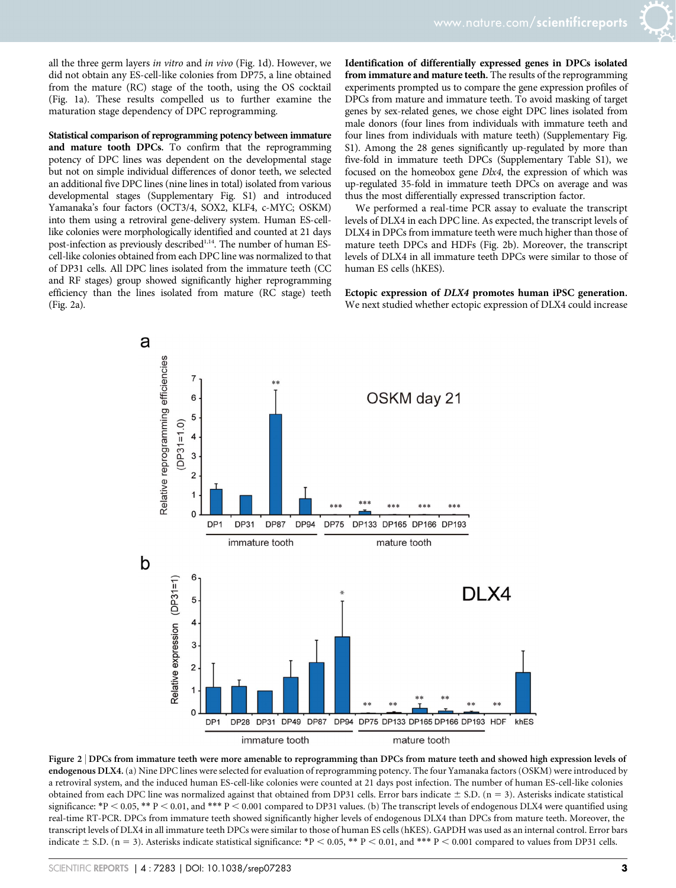all the three germ layers in vitro and in vivo (Fig. 1d). However, we did not obtain any ES-cell-like colonies from DP75, a line obtained from the mature (RC) stage of the tooth, using the OS cocktail (Fig. 1a). These results compelled us to further examine the maturation stage dependency of DPC reprogramming.

Statistical comparison of reprogramming potency between immature and mature tooth DPCs. To confirm that the reprogramming potency of DPC lines was dependent on the developmental stage but not on simple individual differences of donor teeth, we selected an additional five DPC lines (nine lines in total) isolated from various developmental stages (Supplementary Fig. S1) and introduced Yamanaka's four factors (OCT3/4, SOX2, KLF4, c-MYC; OSKM) into them using a retroviral gene-delivery system. Human ES-celllike colonies were morphologically identified and counted at 21 days post-infection as previously described<sup>1,14</sup>. The number of human EScell-like colonies obtained from each DPC line was normalized to that of DP31 cells. All DPC lines isolated from the immature teeth (CC and RF stages) group showed significantly higher reprogramming efficiency than the lines isolated from mature (RC stage) teeth (Fig. 2a).

Identification of differentially expressed genes in DPCs isolated from immature and mature teeth. The results of the reprogramming experiments prompted us to compare the gene expression profiles of DPCs from mature and immature teeth. To avoid masking of target genes by sex-related genes, we chose eight DPC lines isolated from male donors (four lines from individuals with immature teeth and four lines from individuals with mature teeth) (Supplementary Fig. S1). Among the 28 genes significantly up-regulated by more than five-fold in immature teeth DPCs (Supplementary Table S1), we focused on the homeobox gene Dlx4, the expression of which was up-regulated 35-fold in immature teeth DPCs on average and was thus the most differentially expressed transcription factor.

We performed a real-time PCR assay to evaluate the transcript levels of DLX4 in each DPC line. As expected, the transcript levels of DLX4 in DPCs from immature teeth were much higher than those of mature teeth DPCs and HDFs (Fig. 2b). Moreover, the transcript levels of DLX4 in all immature teeth DPCs were similar to those of human ES cells (hKES).

Ectopic expression of DLX4 promotes human iPSC generation. We next studied whether ectopic expression of DLX4 could increase



Figure 2 <sup>|</sup> DPCs from immature teeth were more amenable to reprogramming than DPCs from mature teeth and showed high expression levels of endogenous DLX4.(a) Nine DPC lines were selected for evaluation of reprogramming potency. The four Yamanaka factors (OSKM) were introduced by a retroviral system, and the induced human ES-cell-like colonies were counted at 21 days post infection. The number of human ES-cell-like colonies obtained from each DPC line was normalized against that obtained from DP31 cells. Error bars indicate  $\pm$  S.D. (n = 3). Asterisks indicate statistical significance: \*P < 0.05, \*\* P < 0.01, and \*\*\* P < 0.001 compared to DP31 values. (b) The transcript levels of endogenous DLX4 were quantified using real-time RT-PCR. DPCs from immature teeth showed significantly higher levels of endogenous DLX4 than DPCs from mature teeth. Moreover, the transcript levels of DLX4 in all immature teeth DPCs were similar to those of human ES cells (hKES). GAPDH was used as an internal control. Error bars indicate  $\pm$  S.D. (n = 3). Asterisks indicate statistical significance: \*P < 0.05, \*\* P < 0.01, and \*\*\* P < 0.001 compared to values from DP31 cells.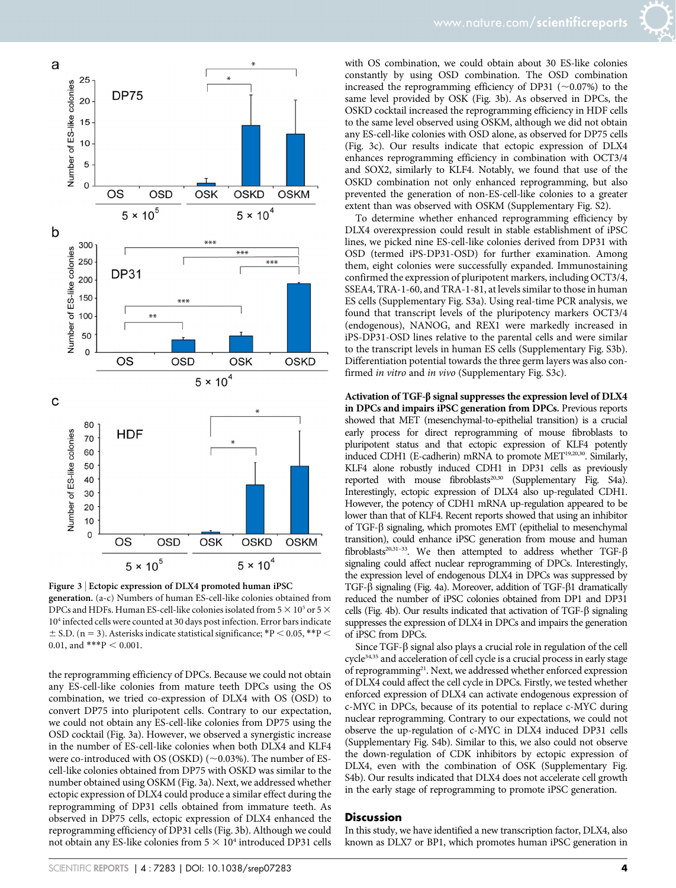

Figure 3 <sup>|</sup> Ectopic expression of DLX4 promoted human iPSC generation. (a-c) Numbers of human ES-cell-like colonies obtained from DPCs and HDFs. Human ES-cell-like colonies isolated from 5  $\times$  10<sup>5</sup> or 5  $\times$ 104 infected cells were counted at 30 days post infection. Error bars indicate  $\pm$  S.D. (n = 3). Asterisks indicate statistical significance; \*P < 0.05, \*\*P < 0.01, and \*\*\*P  $<$  0.001.

the reprogramming efficiency of DPCs. Because we could not obtain any ES-cell-like colonies from mature teeth DPCs using the OS combination, we tried co-expression of DLX4 with OS (OSD) to convert DP75 into pluripotent cells. Contrary to our expectation, we could not obtain any ES-cell-like colonies from DP75 using the OSD cocktail (Fig. 3a). However, we observed a synergistic increase in the number of ES-cell-like colonies when both DLX4 and KLF4 were co-introduced with OS (OSKD) ( $\sim$ 0.03%). The number of EScell-like colonies obtained from DP75 with OSKD was similar to the number obtained using OSKM (Fig. 3a). Next, we addressed whether ectopic expression of DLX4 could produce a similar effect during the reprogramming of DP31 cells obtained from immature teeth. As observed in DP75 cells, ectopic expression of DLX4 enhanced the reprogramming efficiency of DP31 cells (Fig. 3b). Although we could not obtain any ES-like colonies from  $5 \times 10^4$  introduced DP31 cells

with OS combination, we could obtain about 30 ES-like colonies constantly by using OSD combination. The OSD combination increased the reprogramming efficiency of DP31 ( $\sim$ 0.07%) to the same level provided by OSK (Fig. 3b). As observed in DPCs, the OSKD cocktail increased the reprogramming efficiency in HDF cells to the same level observed using OSKM, although we did not obtain any ES-cell-like colonies with OSD alone, as observed for DP75 cells (Fig. 3c). Our results indicate that ectopic expression of DLX4 enhances reprogramming efficiency in combination with OCT3/4 and SOX2, similarly to KLF4. Notably, we found that use of the OSKD combination not only enhanced reprogramming, but also prevented the generation of non-ES-cell-like colonies to a greater extent than was observed with OSKM (Supplementary Fig. S2).

To determine whether enhanced reprogramming efficiency by DLX4 overexpression could result in stable establishment of iPSC lines, we picked nine ES-cell-like colonies derived from DP31 with OSD (termed iPS-DP31-OSD) for further examination. Among them, eight colonies were successfully expanded. Immunostaining confirmed the expression of pluripotent markers, including OCT3/4, SSEA4, TRA-1-60, and TRA-1-81, at levels similar to those in human ES cells (Supplementary Fig. S3a). Using real-time PCR analysis, we found that transcript levels of the pluripotency markers OCT3/4 (endogenous), NANOG, and REX1 were markedly increased in iPS-DP31-OSD lines relative to the parental cells and were similar to the transcript levels in human ES cells (Supplementary Fig. S3b). Differentiation potential towards the three germ layers was also confirmed in vitro and in vivo (Supplementary Fig. S3c).

Activation of TGF- $\beta$  signal suppresses the expression level of DLX4 in DPCs and impairs iPSC generation from DPCs. Previous reports showed that MET (mesenchymal-to-epithelial transition) is a crucial early process for direct reprogramming of mouse fibroblasts to pluripotent status and that ectopic expression of KLF4 potently induced CDH1 (E-cadherin) mRNA to promote MET<sup>19,20,30</sup>. Similarly, KLF4 alone robustly induced CDH1 in DP31 cells as previously reported with mouse fibroblasts<sup>20,30</sup> (Supplementary Fig. S4a). Interestingly, ectopic expression of DLX4 also up-regulated CDH1. However, the potency of CDH1 mRNA up-regulation appeared to be lower than that of KLF4. Recent reports showed that using an inhibitor of TGF-b signaling, which promotes EMT (epithelial to mesenchymal transition), could enhance iPSC generation from mouse and human fibroblasts<sup>20,31-33</sup>. We then attempted to address whether TGF- $\beta$ signaling could affect nuclear reprogramming of DPCs. Interestingly, the expression level of endogenous DLX4 in DPCs was suppressed by TGF- $\beta$  signaling (Fig. 4a). Moreover, addition of TGF- $\beta$ 1 dramatically reduced the number of iPSC colonies obtained from DP1 and DP31 cells (Fig. 4b). Our results indicated that activation of TGF- $\beta$  signaling suppresses the expression of DLX4 in DPCs and impairs the generation of iPSC from DPCs.

Since  $TGF-\beta$  signal also plays a crucial role in regulation of the cell cycle<sup>34,35</sup> and acceleration of cell cycle is a crucial process in early stage of reprogramming<sup>21</sup>. Next, we addressed whether enforced expression of DLX4 could affect the cell cycle in DPCs. Firstly, we tested whether enforced expression of DLX4 can activate endogenous expression of c-MYC in DPCs, because of its potential to replace c-MYC during nuclear reprogramming. Contrary to our expectations, we could not observe the up-regulation of c-MYC in DLX4 induced DP31 cells (Supplementary Fig. S4b). Similar to this, we also could not observe the down-regulation of CDK inhibitors by ectopic expression of DLX4, even with the combination of OSK (Supplementary Fig. S4b). Our results indicated that DLX4 does not accelerate cell growth in the early stage of reprogramming to promote iPSC generation.

#### **Discussion**

In this study, we have identified a new transcription factor, DLX4, also known as DLX7 or BP1, which promotes human iPSC generation in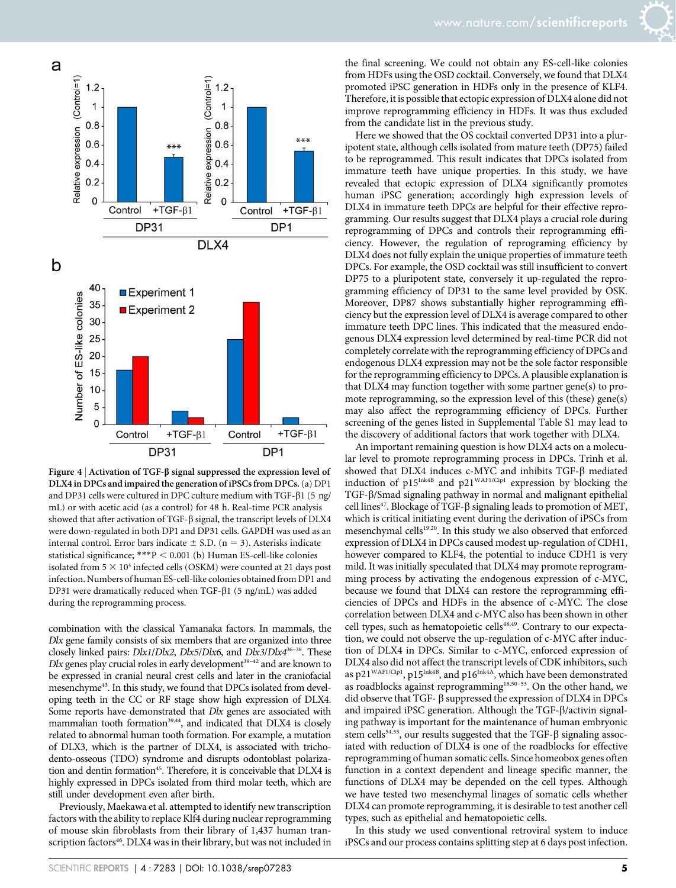



Figure 4 | Activation of TGF- $\beta$  signal suppressed the expression level of DLX4 in DPCs and impaired the generation of iPSCs from DPCs.(a) DP1 and DP31 cells were cultured in DPC culture medium with TGF- $\beta$ 1 (5 ng/ mL) or with acetic acid (as a control) for 48 h. Real-time PCR analysis showed that after activation of TGF- $\beta$  signal, the transcript levels of DLX4 were down-regulated in both DP1 and DP31 cells. GAPDH was used as an internal control. Error bars indicate  $\pm$  S.D. (n = 3). Asterisks indicate statistical significance; \*\*\*P < 0.001 (b) Human ES-cell-like colonies isolated from  $5 \times 10^4$  infected cells (OSKM) were counted at 21 days post infection. Numbers of human ES-cell-like colonies obtained from DP1 and DP31 were dramatically reduced when TGF-b1 (5 ng/mL) was added during the reprogramming process.

combination with the classical Yamanaka factors. In mammals, the Dlx gene family consists of six members that are organized into three closely linked pairs: Dlx1/Dlx2, Dlx5/Dlx6, and Dlx3/Dlx4<sup>36-38</sup>. These  $Dlx$  genes play crucial roles in early development<sup>39-42</sup> and are known to be expressed in cranial neural crest cells and later in the craniofacial mesenchyme<sup>43</sup>. In this study, we found that DPCs isolated from developing teeth in the CC or RF stage show high expression of DLX4. Some reports have demonstrated that Dlx genes are associated with mammalian tooth formation<sup>39,44</sup>, and indicated that DLX4 is closely related to abnormal human tooth formation. For example, a mutation of DLX3, which is the partner of DLX4, is associated with trichodento-osseous (TDO) syndrome and disrupts odontoblast polarization and dentin formation<sup>45</sup>. Therefore, it is conceivable that DLX4 is highly expressed in DPCs isolated from third molar teeth, which are still under development even after birth.

Previously, Maekawa et al. attempted to identify new transcription factors with the ability to replace Klf4 during nuclear reprogramming of mouse skin fibroblasts from their library of 1,437 human transcription factors<sup>46</sup>. DLX4 was in their library, but was not included in the final screening. We could not obtain any ES-cell-like colonies from HDFs using the OSD cocktail. Conversely, we found that DLX4 promoted iPSC generation in HDFs only in the presence of KLF4. Therefore, it is possible that ectopic expression of DLX4 alone did not improve reprogramming efficiency in HDFs. It was thus excluded from the candidate list in the previous study.

Here we showed that the OS cocktail converted DP31 into a pluripotent state, although cells isolated from mature teeth (DP75) failed to be reprogrammed. This result indicates that DPCs isolated from immature teeth have unique properties. In this study, we have revealed that ectopic expression of DLX4 significantly promotes human iPSC generation; accordingly high expression levels of DLX4 in immature teeth DPCs are helpful for their effective reprogramming. Our results suggest that DLX4 plays a crucial role during reprogramming of DPCs and controls their reprogramming efficiency. However, the regulation of reprograming efficiency by DLX4 does not fully explain the unique properties of immature teeth DPCs. For example, the OSD cocktail was still insufficient to convert DP75 to a pluripotent state, conversely it up-regulated the reprogramming efficiency of DP31 to the same level provided by OSK. Moreover, DP87 shows substantially higher reprogramming efficiency but the expression level of DLX4 is average compared to other immature teeth DPC lines. This indicated that the measured endogenous DLX4 expression level determined by real-time PCR did not completely correlate with the reprogramming efficiency of DPCs and endogenous DLX4 expression may not be the sole factor responsible for the reprogramming efficiency to DPCs. A plausible explanation is that DLX4 may function together with some partner gene(s) to promote reprogramming, so the expression level of this (these) gene(s) may also affect the reprogramming efficiency of DPCs. Further screening of the genes listed in Supplemental Table S1 may lead to the discovery of additional factors that work together with DLX4.

An important remaining question is how DLX4 acts on a molecular level to promote reprogramming process in DPCs. Trinh et al. showed that DLX4 induces c-MYC and inhibits TGF- $\beta$  mediated induction of  $p15^{Ink4B}$  and  $p21^{WAF1/Cip1}$  expression by blocking the TGF- $\beta$ /Smad signaling pathway in normal and malignant epithelial cell lines<sup>47</sup>. Blockage of TGF- $\beta$  signaling leads to promotion of MET, which is critical initiating event during the derivation of iPSCs from mesenchymal cells<sup>19,20</sup>. In this study we also observed that enforced expression of DLX4 in DPCs caused modest up-regulation of CDH1, however compared to KLF4, the potential to induce CDH1 is very mild. It was initially speculated that DLX4 may promote reprogramming process by activating the endogenous expression of c-MYC, because we found that DLX4 can restore the reprogramming efficiencies of DPCs and HDFs in the absence of c-MYC. The close correlation between DLX4 and c-MYC also has been shown in other cell types, such as hematopoietic cells<sup>48,49</sup>. Contrary to our expectation, we could not observe the up-regulation of c-MYC after induction of DLX4 in DPCs. Similar to c-MYC, enforced expression of DLX4 also did not affect the transcript levels of CDK inhibitors, such as p21<sup>WAF1/Cip1</sup>, p15<sup>Ink4B</sup>, and p16<sup>Ink4A</sup>, which have been demonstrated as roadblocks against reprogramming<sup>18,50-53</sup>. On the other hand, we did observe that TGF- $\beta$  suppressed the expression of DLX4 in DPCs and impaired iPSC generation. Although the TGF- $\beta$ /activin signaling pathway is important for the maintenance of human embryonic stem cells<sup>54,55</sup>, our results suggested that the TGF- $\beta$  signaling associated with reduction of DLX4 is one of the roadblocks for effective reprogramming of human somatic cells. Since homeobox genes often function in a context dependent and lineage specific manner, the functions of DLX4 may be depended on the cell types. Although we have tested two mesenchymal linages of somatic cells whether DLX4 can promote reprogramming, it is desirable to test another cell types, such as epithelial and hematopoietic cells.

In this study we used conventional retroviral system to induce iPSCs and our process contains splitting step at 6 days post infection.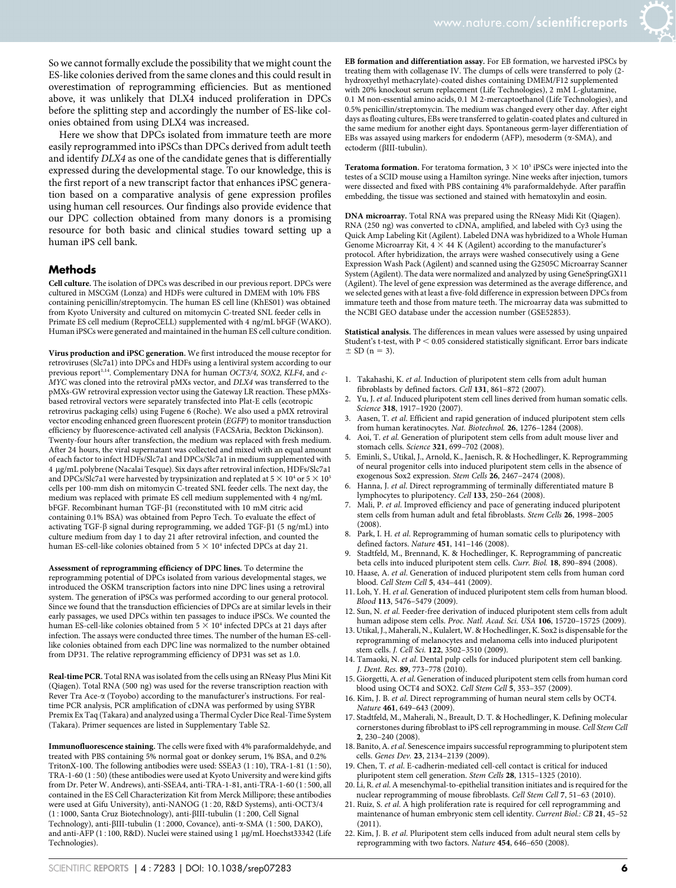So we cannot formally exclude the possibility that we might count the ES-like colonies derived from the same clones and this could result in overestimation of reprogramming efficiencies. But as mentioned above, it was unlikely that DLX4 induced proliferation in DPCs before the splitting step and accordingly the number of ES-like colonies obtained from using DLX4 was increased.

Here we show that DPCs isolated from immature teeth are more easily reprogrammed into iPSCs than DPCs derived from adult teeth and identify DLX4 as one of the candidate genes that is differentially expressed during the developmental stage. To our knowledge, this is the first report of a new transcript factor that enhances iPSC generation based on a comparative analysis of gene expression profiles using human cell resources. Our findings also provide evidence that our DPC collection obtained from many donors is a promising resource for both basic and clinical studies toward setting up a human iPS cell bank.

#### **Methods**

Cell culture. The isolation of DPCs was described in our previous report. DPCs were cultured in MSCGM (Lonza) and HDFs were cultured in DMEM with 10% FBS containing penicillin/streptomycin. The human ES cell line (KhES01) was obtained from Kyoto University and cultured on mitomycin C-treated SNL feeder cells in Primate ES cell medium (ReproCELL) supplemented with 4 ng/mL bFGF (WAKO). Human iPSCs were generated and maintained in the human ES cell culture condition.

Virus production and iPSC generation. We first introduced the mouse receptor for retroviruses (Slc7a1) into DPCs and HDFs using a lentiviral system according to our previous report<sup>1,14</sup>. Complementary DNA for human OCT3/4, SOX2, KLF4, and c-MYC was cloned into the retroviral pMXs vector, and DLX4 was transferred to the pMXs-GW retroviral expression vector using the Gateway LR reaction. These pMXsbased retroviral vectors were separately transfected into Plat-E cells (ecotropic retrovirus packaging cells) using Fugene 6 (Roche). We also used a pMX retroviral vector encoding enhanced green fluorescent protein (EGFP) to monitor transduction efficiency by fluorescence-activated cell analysis (FACSAria, Beckton Dickinson). Twenty-four hours after transfection, the medium was replaced with fresh medium. After 24 hours, the viral supernatant was collected and mixed with an equal amount of each factor to infect HDFs/Slc7a1 and DPCs/Slc7a1 in medium supplemented with 4 mg/mL polybrene (Nacalai Tesque). Six days after retroviral infection, HDFs/Slc7a1 and DPCs/Slc7a1 were harvested by trypsinization and replated at  $5 \times 10^4$  or  $5 \times 10^5$ cells per 100-mm dish on mitomycin C-treated SNL feeder cells. The next day, the medium was replaced with primate ES cell medium supplemented with 4 ng/mL bFGF. Recombinant human TGF-b1 (reconstituted with 10 mM citric acid containing 0.1% BSA) was obtained from Pepro Tech. To evaluate the effect of activating TGF- $\beta$  signal during reprogramming, we added TGF- $\beta$ 1 (5 ng/mL) into culture medium from day 1 to day 21 after retroviral infection, and counted the human ES-cell-like colonies obtained from  $5 \times 10^4$  infected DPCs at day 21.

Assessment of reprogramming efficiency of DPC lines. To determine the reprogramming potential of DPCs isolated from various developmental stages, we introduced the OSKM transcription factors into nine DPC lines using a retroviral system. The generation of iPSCs was performed according to our general protocol. Since we found that the transduction efficiencies of DPCs are at similar levels in their early passages, we used DPCs within ten passages to induce iPSCs. We counted the human ES-cell-like colonies obtained from  $5 \times 10^4$  infected DPCs at 21 days after infection. The assays were conducted three times. The number of the human ES-celllike colonies obtained from each DPC line was normalized to the number obtained from DP31. The relative reprogramming efficiency of DP31 was set as 1.0.

Real-time PCR. Total RNA was isolated from the cells using an RNeasy Plus Mini Kit (Qiagen). Total RNA (500 ng) was used for the reverse transcription reaction with Rever Tra Ace-a (Toyobo) according to the manufacturer's instructions. For realtime PCR analysis, PCR amplification of cDNA was performed by using SYBR Premix Ex Taq (Takara) and analyzed using a Thermal Cycler Dice Real-Time System (Takara). Primer sequences are listed in Supplementary Table S2.

 ${\bf Immunofluorescence \ staining.}$  The cells were fixed with 4% paraformaldehyde, and treated with PBS containing 5% normal goat or donkey serum, 1% BSA, and 0.2% TritonX-100. The following antibodies were used: SSEA3 (1:10), TRA-1-81 (1:50), TRA-1-60  $(1:50)$  (these antibodies were used at Kyoto University and were kind gifts from Dr. Peter W. Andrews), anti-SSEA4, anti-TRA-1-81, anti-TRA-1-60  $(1:500, all$ contained in the ES Cell Characterization Kit from Merck Millipore; these antibodies were used at Gifu University), anti-NANOG (1:20, R&D Systems), anti-OCT3/4 (1:1000, Santa Cruz Biotechnology), anti- $\beta$ III-tubulin (1:200, Cell Signal Technology), anti- $\beta$ III-tubulin (1:2000, Covance), anti- $\alpha$ -SMA (1:500, DAKO), and anti-AFP (1:100, R&D). Nuclei were stained using 1 µg/mL Hoechst33342 (Life Technologies).

EB formation and differentiation assay. For EB formation, we harvested iPSCs by treating them with collagenase IV. The clumps of cells were transferred to poly (2 hydroxyethyl methacrylate)-coated dishes containing DMEM/F12 supplemented with 20% knockout serum replacement (Life Technologies), 2 mM L-glutamine, 0.1 M non-essential amino acids, 0.1 M 2-mercaptoethanol (Life Technologies), and 0.5% penicillin/streptomycin. The medium was changed every other day. After eight days as floating cultures, EBs were transferred to gelatin-coated plates and cultured in the same medium for another eight days. Spontaneous germ-layer differentiation of EBs was assayed using markers for endoderm (AFP), mesoderm ( $\alpha$ -SMA), and ectoderm (βIII-tubulin).

Teratoma formation. For teratoma formation,  $3 \times 10^5$  iPSCs were injected into the testes of a SCID mouse using a Hamilton syringe. Nine weeks after injection, tumors were dissected and fixed with PBS containing 4% paraformaldehyde. After paraffin embedding, the tissue was sectioned and stained with hematoxylin and eosin.

DNA microarray. Total RNA was prepared using the RNeasy Midi Kit (Qiagen). RNA (250 ng) was converted to cDNA, amplified, and labeled with Cy3 using the Quick Amp Labeling Kit (Agilent). Labeled DNA was hybridized to a Whole Human Genome Microarray Kit,  $4 \times 44$  K (Agilent) according to the manufacturer's protocol. After hybridization, the arrays were washed consecutively using a Gene Expression Wash Pack (Agilent) and scanned using the G2505C Microarray Scanner System (Agilent). The data were normalized and analyzed by using GeneSpringGX11 (Agilent). The level of gene expression was determined as the average difference, and we selected genes with at least a five-fold difference in expression between DPCs from immature teeth and those from mature teeth. The microarray data was submitted to the NCBI GEO database under the accession number (GSE52853).

Statistical analysis. The differences in mean values were assessed by using unpaired Student's t-test, with  $\mathtt{P} < 0.05$  considered statistically significant. Error bars indicate  $\pm$  SD (n = 3).

- 1. Takahashi, K. et al. Induction of pluripotent stem cells from adult human fibroblasts by defined factors. Cell 131, 861-872 (2007).
- 2. Yu, J. et al. Induced pluripotent stem cell lines derived from human somatic cells. Science 318, 1917-1920 (2007).
- 3. Aasen, T. et al. Efficient and rapid generation of induced pluripotent stem cells from human keratinocytes. Nat. Biotechnol. 26, 1276–1284 (2008).
- Aoi, T. et al. Generation of pluripotent stem cells from adult mouse liver and stomach cells. Science 321, 699–702 (2008).
- 5. Eminli, S., Utikal, J., Arnold, K., Jaenisch, R. & Hochedlinger, K. Reprogramming of neural progenitor cells into induced pluripotent stem cells in the absence of exogenous Sox2 expression. Stem Cells 26, 2467–2474 (2008).
- 6. Hanna, J. et al. Direct reprogramming of terminally differentiated mature B lymphocytes to pluripotency. Cell 133, 250–264 (2008).
- Mali, P. et al. Improved efficiency and pace of generating induced pluripotent stem cells from human adult and fetal fibroblasts. Stem Cells 26, 1998-2005 (2008).
- 8. Park, I. H. et al. Reprogramming of human somatic cells to pluripotency with defined factors. Nature 451, 141–146 (2008).
- 9. Stadtfeld, M., Brennand, K. & Hochedlinger, K. Reprogramming of pancreatic beta cells into induced pluripotent stem cells. Curr. Biol. 18, 890–894 (2008).
- 10. Haase, A. et al. Generation of induced pluripotent stem cells from human cord blood. Cell Stem Cell 5, 434–441 (2009).
- 11. Loh, Y. H. et al. Generation of induced pluripotent stem cells from human blood. Blood 113, 5476–5479 (2009).
- 12. Sun, N. et al. Feeder-free derivation of induced pluripotent stem cells from adult human adipose stem cells. Proc. Natl. Acad. Sci. USA 106, 15720-15725 (2009).
- 13. Utikal, J., Maherali, N., Kulalert, W. & Hochedlinger, K. Sox2 is dispensable for the reprogramming of melanocytes and melanoma cells into induced pluripotent stem cells. J. Cell Sci. 122, 3502–3510 (2009).
- 14. Tamaoki, N. et al. Dental pulp cells for induced pluripotent stem cell banking. J. Dent. Res. 89, 773–778 (2010).
- 15. Giorgetti, A. et al. Generation of induced pluripotent stem cells from human cord blood using OCT4 and SOX2. Cell Stem Cell 5, 353–357 (2009).
- 16. Kim, J. B. et al. Direct reprogramming of human neural stem cells by OCT4. Nature 461, 649-643 (2009).
- 17. Stadtfeld, M., Maherali, N., Breault, D. T. & Hochedlinger, K. Defining molecular cornerstones during fibroblast to iPS cell reprogramming in mouse. Cell Stem Cell 2, 230–240 (2008).
- 18. Banito, A.et al. Senescence impairs successful reprogramming to pluripotent stem cells. Genes Dev. 23, 2134–2139 (2009).
- 19. Chen, T. et al. E-cadherin-mediated cell-cell contact is critical for induced pluripotent stem cell generation. Stem Cells 28, 1315–1325 (2010).
- 20. Li, R. et al. A mesenchymal-to-epithelial transition initiates and is required for the nuclear reprogramming of mouse fibroblasts. Cell Stem Cell 7, 51–63 (2010).
- 21. Ruiz, S. et al. A high proliferation rate is required for cell reprogramming and maintenance of human embryonic stem cell identity. Current Biol.: CB 21, 45-52 (2011).
- 22. Kim, J. B. et al. Pluripotent stem cells induced from adult neural stem cells by reprogramming with two factors. Nature 454, 646–650 (2008).